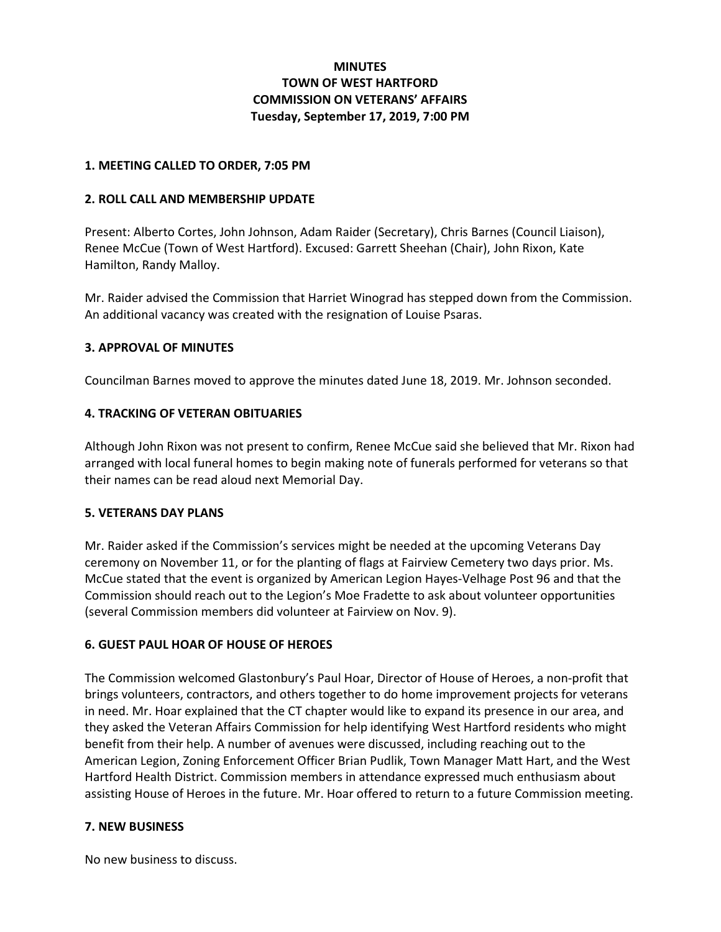# **MINUTES** TOWN OF WEST HARTFORD COMMISSION ON VETERANS' AFFAIRS Tuesday, September 17, 2019, 7:00 PM

## 1. MEETING CALLED TO ORDER, 7:05 PM

### 2. ROLL CALL AND MEMBERSHIP UPDATE

Present: Alberto Cortes, John Johnson, Adam Raider (Secretary), Chris Barnes (Council Liaison), Renee McCue (Town of West Hartford). Excused: Garrett Sheehan (Chair), John Rixon, Kate Hamilton, Randy Malloy.

Mr. Raider advised the Commission that Harriet Winograd has stepped down from the Commission. An additional vacancy was created with the resignation of Louise Psaras.

## 3. APPROVAL OF MINUTES

Councilman Barnes moved to approve the minutes dated June 18, 2019. Mr. Johnson seconded.

## 4. TRACKING OF VETERAN OBITUARIES

Although John Rixon was not present to confirm, Renee McCue said she believed that Mr. Rixon had arranged with local funeral homes to begin making note of funerals performed for veterans so that their names can be read aloud next Memorial Day.

### 5. VETERANS DAY PLANS

Mr. Raider asked if the Commission's services might be needed at the upcoming Veterans Day ceremony on November 11, or for the planting of flags at Fairview Cemetery two days prior. Ms. McCue stated that the event is organized by American Legion Hayes-Velhage Post 96 and that the Commission should reach out to the Legion's Moe Fradette to ask about volunteer opportunities (several Commission members did volunteer at Fairview on Nov. 9).

### 6. GUEST PAUL HOAR OF HOUSE OF HEROES

The Commission welcomed Glastonbury's Paul Hoar, Director of House of Heroes, a non-profit that brings volunteers, contractors, and others together to do home improvement projects for veterans in need. Mr. Hoar explained that the CT chapter would like to expand its presence in our area, and they asked the Veteran Affairs Commission for help identifying West Hartford residents who might benefit from their help. A number of avenues were discussed, including reaching out to the American Legion, Zoning Enforcement Officer Brian Pudlik, Town Manager Matt Hart, and the West Hartford Health District. Commission members in attendance expressed much enthusiasm about assisting House of Heroes in the future. Mr. Hoar offered to return to a future Commission meeting.

### 7. NEW BUSINESS

No new business to discuss.